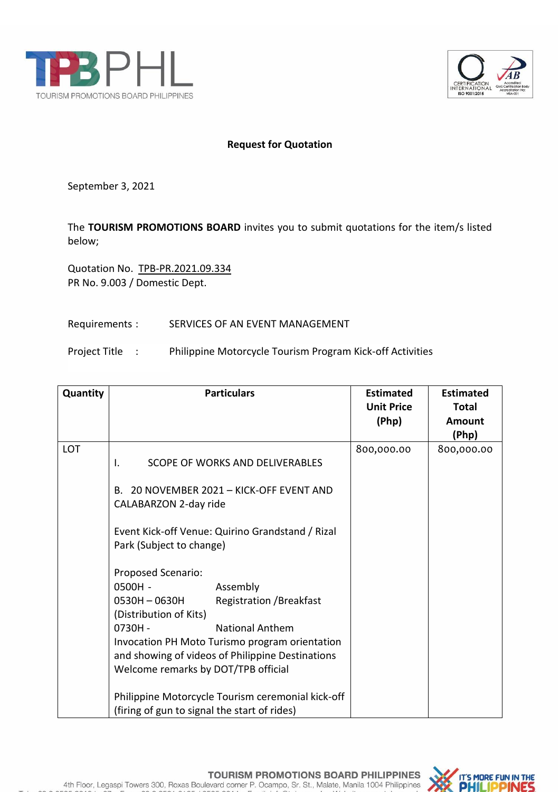



## **Request for Quotation**

September 3, 2021

The **TOURISM PROMOTIONS BOARD** invites you to submit quotations for the item/s listed below;

Quotation No. TPB-PR.2021.09.334 PR No. 9.003 / Domestic Dept.

## Requirements : SERVICES OF AN EVENT MANAGEMENT

Project Title : Philippine Motorcycle Tourism Program Kick-off Activities

| Quantity | <b>Particulars</b>                                                                                                                                                                                                                                                                                                                                                                                                                                                                                                                                                                                             | <b>Estimated</b><br><b>Unit Price</b><br>(Php) | <b>Estimated</b><br><b>Total</b><br><b>Amount</b><br>(Php) |
|----------|----------------------------------------------------------------------------------------------------------------------------------------------------------------------------------------------------------------------------------------------------------------------------------------------------------------------------------------------------------------------------------------------------------------------------------------------------------------------------------------------------------------------------------------------------------------------------------------------------------------|------------------------------------------------|------------------------------------------------------------|
| LOT      | SCOPE OF WORKS AND DELIVERABLES<br>I.<br>B. 20 NOVEMBER 2021 - KICK-OFF EVENT AND<br>CALABARZON 2-day ride<br>Event Kick-off Venue: Quirino Grandstand / Rizal<br>Park (Subject to change)<br>Proposed Scenario:<br>$0500H -$<br>Assembly<br>0530H-0630H<br><b>Registration / Breakfast</b><br>(Distribution of Kits)<br><b>National Anthem</b><br>$0730H -$<br>Invocation PH Moto Turismo program orientation<br>and showing of videos of Philippine Destinations<br>Welcome remarks by DOT/TPB official<br>Philippine Motorcycle Tourism ceremonial kick-off<br>(firing of gun to signal the start of rides) | 800,000.00                                     | 800,000.00                                                 |



4th Floor, Legaspi Towers 300, Roxas Boulevard corner P. Ocampo, Sr. St., Malate, Manila 1004 Philippines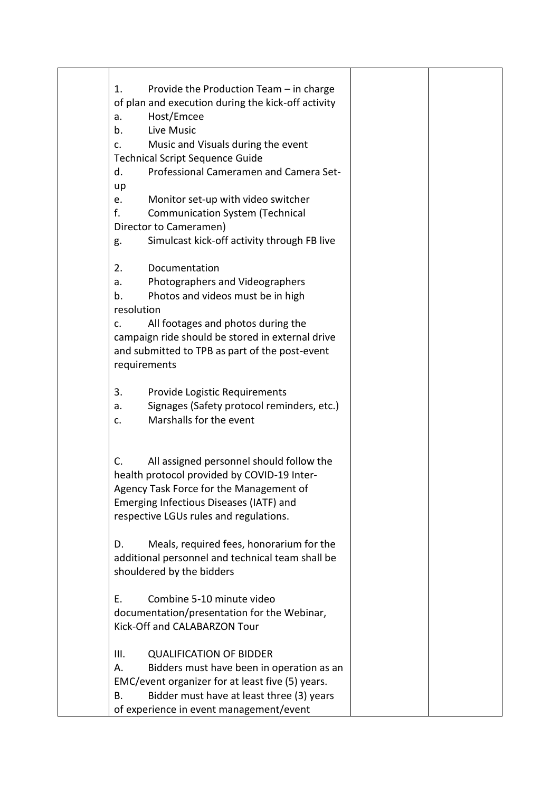| Provide the Production Team - in charge<br>1.      |  |
|----------------------------------------------------|--|
| of plan and execution during the kick-off activity |  |
| Host/Emcee<br>a.                                   |  |
| Live Music<br>b.                                   |  |
| Music and Visuals during the event<br>$C_{\star}$  |  |
| <b>Technical Script Sequence Guide</b>             |  |
| Professional Cameramen and Camera Set-<br>d.       |  |
| up                                                 |  |
| Monitor set-up with video switcher<br>e.           |  |
| f.<br><b>Communication System (Technical</b>       |  |
| Director to Cameramen)                             |  |
| Simulcast kick-off activity through FB live<br>g.  |  |
| Documentation<br>2.                                |  |
| Photographers and Videographers<br>a.              |  |
| Photos and videos must be in high<br>b.            |  |
| resolution                                         |  |
| All footages and photos during the<br>c.           |  |
| campaign ride should be stored in external drive   |  |
| and submitted to TPB as part of the post-event     |  |
| requirements                                       |  |
| 3.<br>Provide Logistic Requirements                |  |
| Signages (Safety protocol reminders, etc.)<br>a.   |  |
| Marshalls for the event<br>c.                      |  |
|                                                    |  |
| All assigned personnel should follow the<br>C.     |  |
| health protocol provided by COVID-19 Inter-        |  |
| Agency Task Force for the Management of            |  |
| Emerging Infectious Diseases (IATF) and            |  |
| respective LGUs rules and regulations.             |  |
| Meals, required fees, honorarium for the<br>D.     |  |
| additional personnel and technical team shall be   |  |
| shouldered by the bidders                          |  |
| Combine 5-10 minute video<br>Ε.                    |  |
| documentation/presentation for the Webinar,        |  |
| Kick-Off and CALABARZON Tour                       |  |
| III.<br><b>QUALIFICATION OF BIDDER</b>             |  |
| Bidders must have been in operation as an<br>А.    |  |
| EMC/event organizer for at least five (5) years.   |  |
| Bidder must have at least three (3) years<br>В.    |  |
| of experience in event management/event            |  |
|                                                    |  |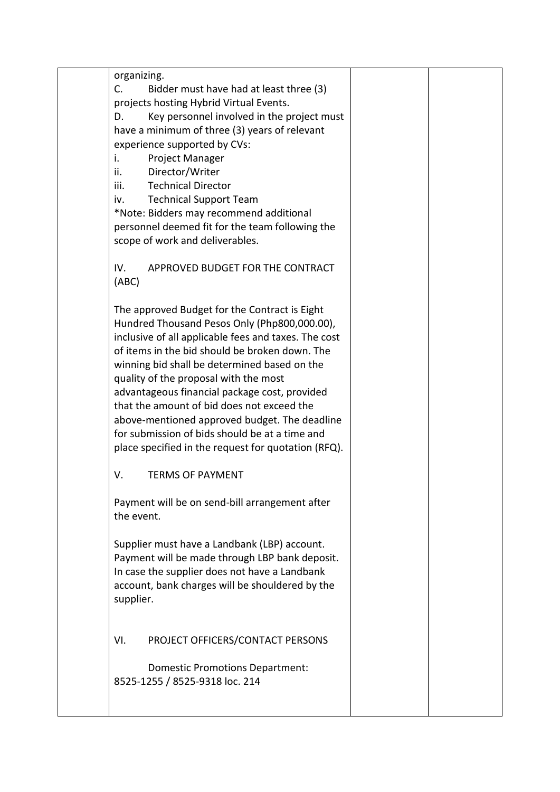| organizing.                                            |  |
|--------------------------------------------------------|--|
| $C_{\cdot}$<br>Bidder must have had at least three (3) |  |
| projects hosting Hybrid Virtual Events.                |  |
| Key personnel involved in the project must<br>D.       |  |
| have a minimum of three (3) years of relevant          |  |
| experience supported by CVs:                           |  |
| Project Manager<br>i.                                  |  |
| Director/Writer<br>ii.                                 |  |
| <b>Technical Director</b><br>iii.                      |  |
| <b>Technical Support Team</b><br>iv.                   |  |
| *Note: Bidders may recommend additional                |  |
| personnel deemed fit for the team following the        |  |
| scope of work and deliverables.                        |  |
|                                                        |  |
| APPROVED BUDGET FOR THE CONTRACT<br>IV.                |  |
| (ABC)                                                  |  |
|                                                        |  |
| The approved Budget for the Contract is Eight          |  |
|                                                        |  |
| Hundred Thousand Pesos Only (Php800,000.00),           |  |
| inclusive of all applicable fees and taxes. The cost   |  |
| of items in the bid should be broken down. The         |  |
| winning bid shall be determined based on the           |  |
| quality of the proposal with the most                  |  |
| advantageous financial package cost, provided          |  |
| that the amount of bid does not exceed the             |  |
| above-mentioned approved budget. The deadline          |  |
| for submission of bids should be at a time and         |  |
| place specified in the request for quotation (RFQ).    |  |
| V.<br><b>TERMS OF PAYMENT</b>                          |  |
|                                                        |  |
| Payment will be on send-bill arrangement after         |  |
| the event.                                             |  |
|                                                        |  |
| Supplier must have a Landbank (LBP) account.           |  |
| Payment will be made through LBP bank deposit.         |  |
| In case the supplier does not have a Landbank          |  |
| account, bank charges will be shouldered by the        |  |
| supplier.                                              |  |
|                                                        |  |
|                                                        |  |
| PROJECT OFFICERS/CONTACT PERSONS<br>VI.                |  |
|                                                        |  |
| <b>Domestic Promotions Department:</b>                 |  |
| 8525-1255 / 8525-9318 loc. 214                         |  |
|                                                        |  |
|                                                        |  |